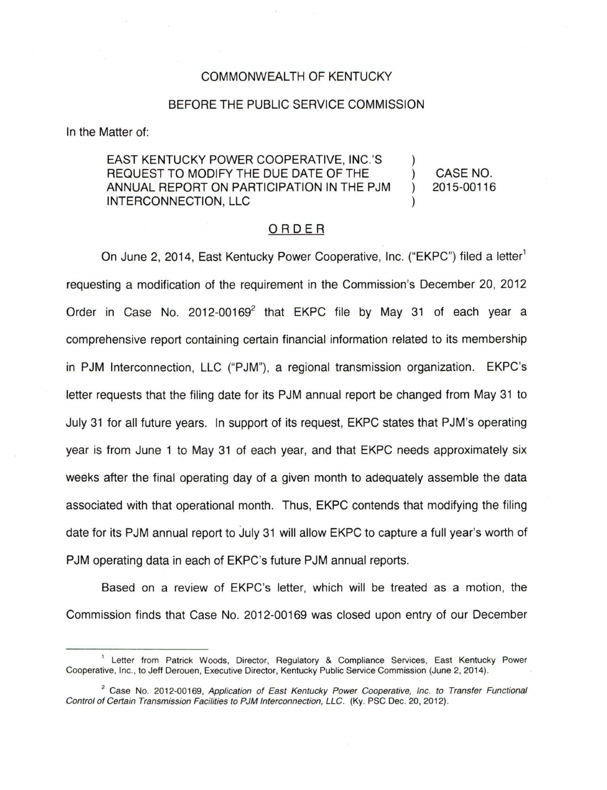## COMMONWEALTH OF KENTUCKY

## BEFORE THE PUBLIC SERVICE COMMISSION

In the Matter of:

## EAST KENTUCKY POWER COOPERATIVE, INC.'S REQUEST TO MODIFY THE DUE DATE OF THE ANNUAL REPORT ON PARTICIPATION IN THE PJM INTERCONNECTION, LLC CASE NO. 2015-00116

## ORDER

On June 2, 2014, East Kentucky Power Cooperative, Inc. ("EKPC") filed a letter<sup>1</sup> requesting a modification of the requirement in the Commission's December 20, 2012 Order in Case No.  $2012-00169^2$  that EKPC file by May 31 of each year a comprehensive report containing certain financial information related to its membership in PJM Interconnection, LLC ("PJM"), a regional transmission organization. EKPC's letter requests that the filing date for its PJM annual report be changed from May 31 to July 31 for all future years. In support of its request, EKPC states that PJM's operating year is from June 1 to May 31 of each year, and that EKPC needs approximately six weeks after the final operating day of a given month to adequately assemble the data associated with that operational month. Thus, EKPC contends that modifying the filing date for its PJM annual report to July 31 will allow EKPC to capture a full year's worth of PJM operating data in each of EKPC's future PJM annual reports.

Based on a review of EKPC's letter, which will be treated as a motion, the Commission finds that Case No. 2012-00169 was closed upon entry of our December

<sup>&</sup>lt;sup>1</sup> Letter from Patrick Woods, Director, Regulatory & Compliance Services, East Kentucky Power Cooperative, Inc., to Jeff Derouen, Executive Director, Kentucky Public Service Commission (June 2, 2014).

<sup>&</sup>lt;sup>2</sup> Case No. 2012-00169, Application of East Kentucky Power Cooperative, Inc. to Transfer Functional Control of Certain Transmission Facilities to PJM Interconnection, LLC. (Ky. PSC Dec. 20, 2012).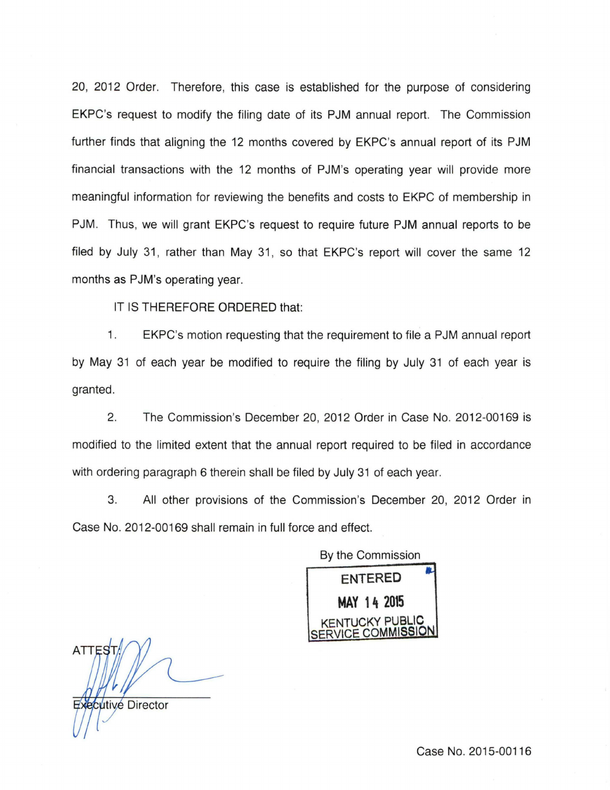20, 2012 Order. Therefore, this case is established for the purpose of considering EKPC's request to modify the filing date of its PJM annual report. The Commission further finds that aligning the 12 months covered by EKPC's annual report of its PJM financial transactions with the 12 months of PJM's operating year will provide more meaningful information for reviewing the benefits and costs to EKPC of membership in PJM. Thus, we will grant EKPC's request to require future PJM annual reports to be filed by July 31, rather than May 31, so that EKPC's report will cover the same 12 months as PJM's operating year.

IT IS THEREFORE ORDERED that:

1. EKPC's motion requesting that the requirement to file a PJM annual report by May 31 of each year be modified to require the filing by July 31 of each year is granted.

2. The Commission's December 20, 2012 Order in Case No. 2012-00169 is modified to the limited extent that the annual report required to be filed in accordance with ordering paragraph 6 therein shall be filed by July 31 of each year.

3. All other provisions of the Commission's December 20, 2012 Order in Case No. 2012-00169 shall remain in full force and effect.

By the Commission **ENTERED MAY 14 2015**  KENTUCKY PUBLIC SERVICE COMMISSION

Zxecutive Director